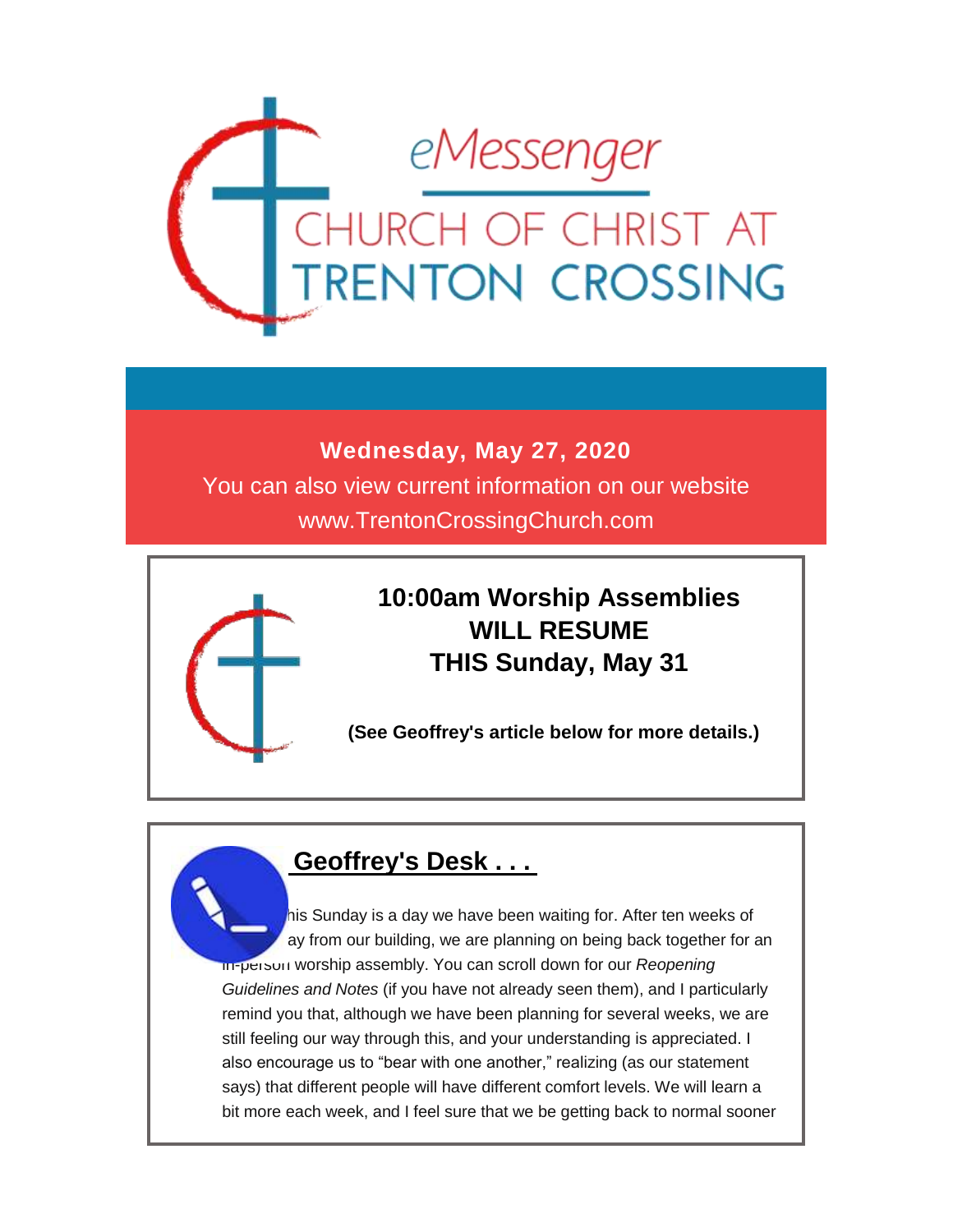

### **Wednesday, May 27, 2020**

You can also view current information on our website www.TrentonCrossingChurch.com



# **10:00am Worship Assemblies WILL RESUME THIS Sunday, May 31**

**(See Geoffrey's article below for more details.)**

### **Geoffrey's Desk . . .**

his Sunday is a day we have been waiting for. After ten weeks of ay from our building, we are planning on being back together for an in-person worship assembly. You can scroll down for our *Reopening Guidelines and Notes* (if you have not already seen them), and I particularly remind you that, although we have been planning for several weeks, we are still feeling our way through this, and your understanding is appreciated. I also encourage us to "bear with one another," realizing (as our statement says) that different people will have different comfort levels. We will learn a bit more each week, and I feel sure that we be getting back to normal sooner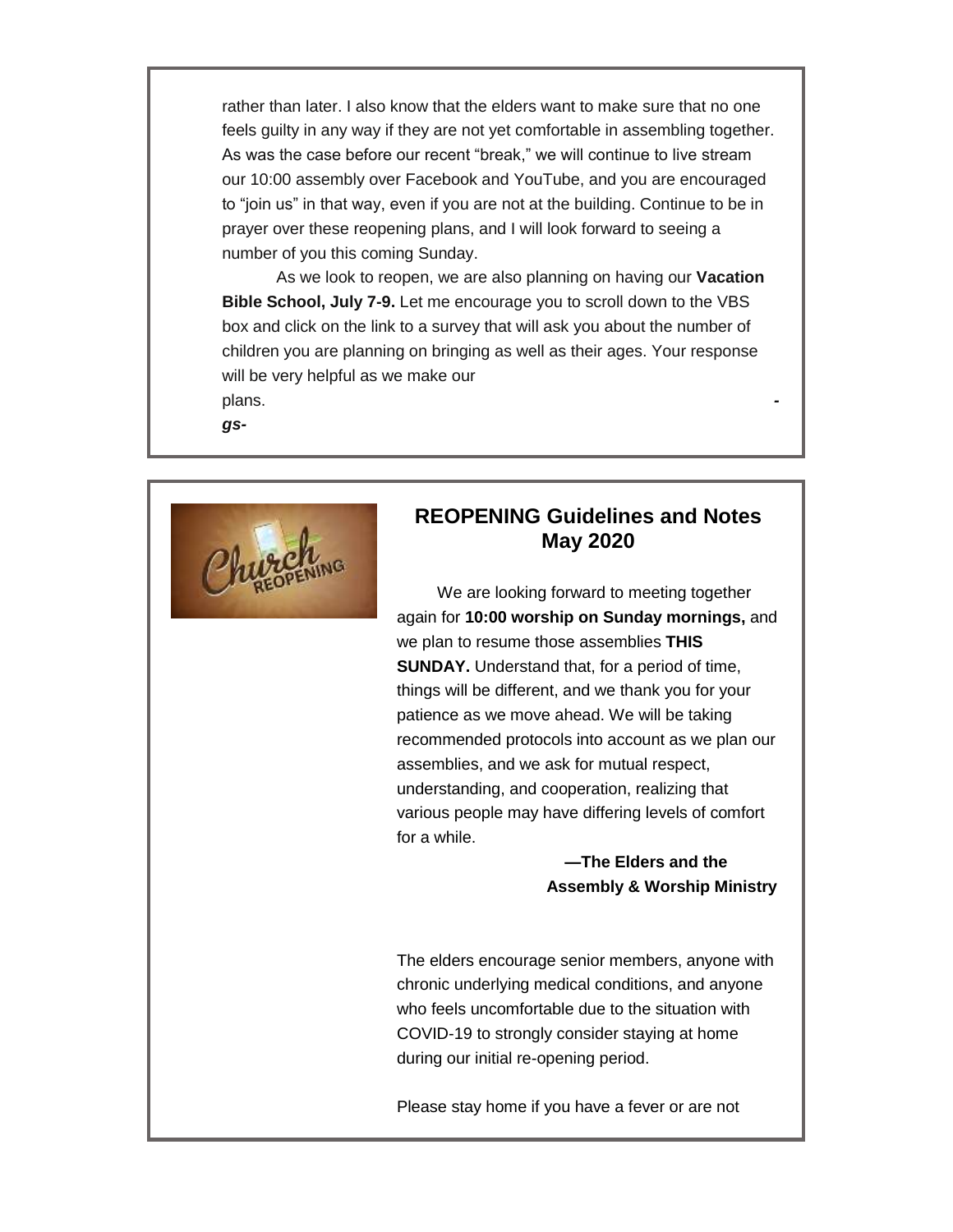rather than later. I also know that the elders want to make sure that no one feels guilty in any way if they are not yet comfortable in assembling together. As was the case before our recent "break," we will continue to live stream our 10:00 assembly over Facebook and YouTube, and you are encouraged to "join us" in that way, even if you are not at the building. Continue to be in prayer over these reopening plans, and I will look forward to seeing a number of you this coming Sunday.

 As we look to reopen, we are also planning on having our **Vacation Bible School, July 7-9.** Let me encourage you to scroll down to the VBS box and click on the link to a survey that will ask you about the number of children you are planning on bringing as well as their ages. Your response will be very helpful as we make our plans. *-*

*gs-*



### **REOPENING Guidelines and Notes May 2020**

We are looking forward to meeting together again for **10:00 worship on Sunday mornings,** and we plan to resume those assemblies **THIS SUNDAY.** Understand that, for a period of time, things will be different, and we thank you for your patience as we move ahead. We will be taking recommended protocols into account as we plan our assemblies, and we ask for mutual respect, understanding, and cooperation, realizing that various people may have differing levels of comfort for a while.

### **—The Elders and the Assembly & Worship Ministry**

The elders encourage senior members, anyone with chronic underlying medical conditions, and anyone who feels uncomfortable due to the situation with COVID-19 to strongly consider staying at home during our initial re-opening period.

Please stay home if you have a fever or are not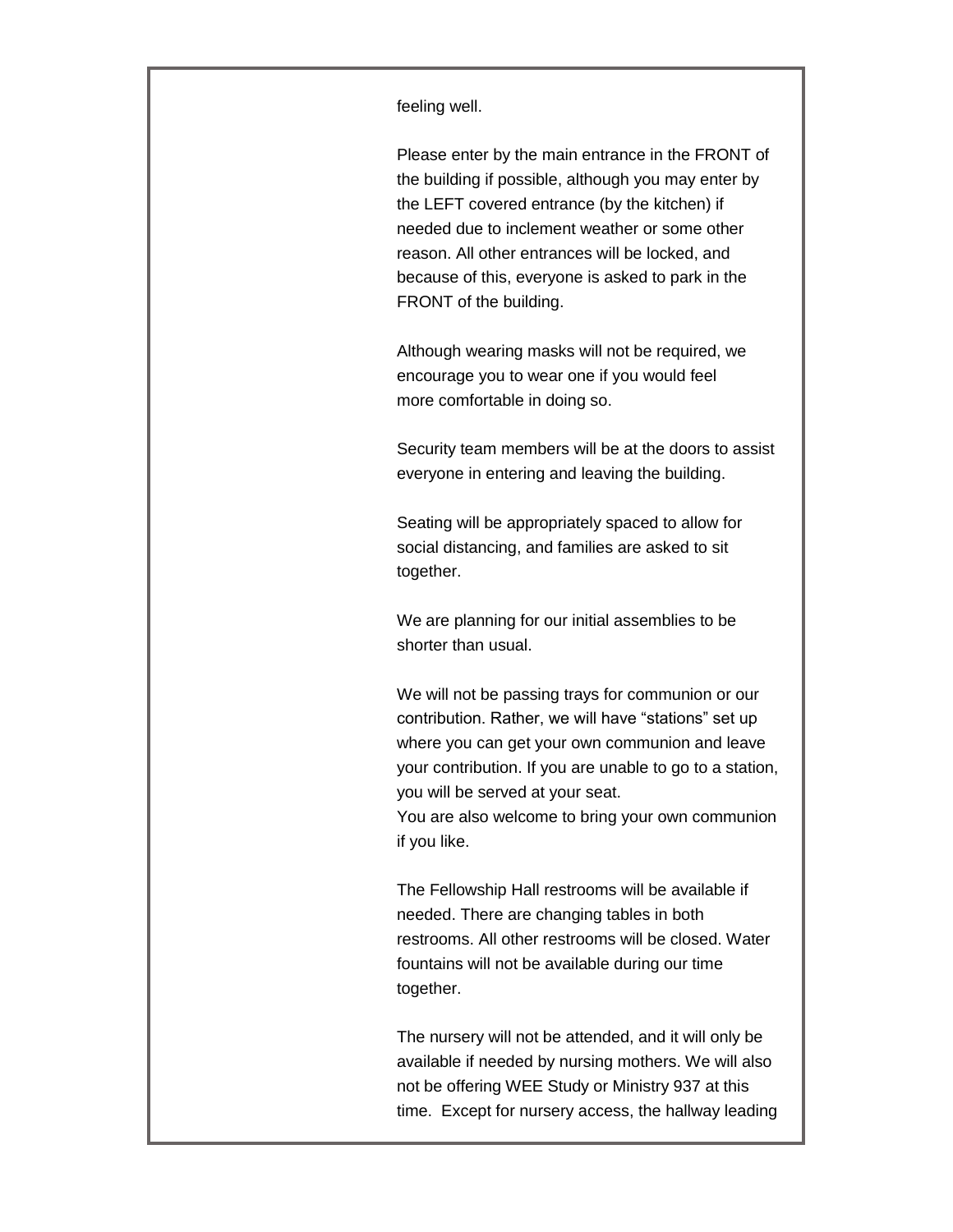feeling well.

Please enter by the main entrance in the FRONT of the building if possible, although you may enter by the LEFT covered entrance (by the kitchen) if needed due to inclement weather or some other reason. All other entrances will be locked, and because of this, everyone is asked to park in the FRONT of the building.

Although wearing masks will not be required, we encourage you to wear one if you would feel more comfortable in doing so.

Security team members will be at the doors to assist everyone in entering and leaving the building.

Seating will be appropriately spaced to allow for social distancing, and families are asked to sit together.

We are planning for our initial assemblies to be shorter than usual.

We will not be passing trays for communion or our contribution. Rather, we will have "stations" set up where you can get your own communion and leave your contribution. If you are unable to go to a station, you will be served at your seat.

You are also welcome to bring your own communion if you like.

The Fellowship Hall restrooms will be available if needed. There are changing tables in both restrooms. All other restrooms will be closed. Water fountains will not be available during our time together.

The nursery will not be attended, and it will only be available if needed by nursing mothers. We will also not be offering WEE Study or Ministry 937 at this time. Except for nursery access, the hallway leading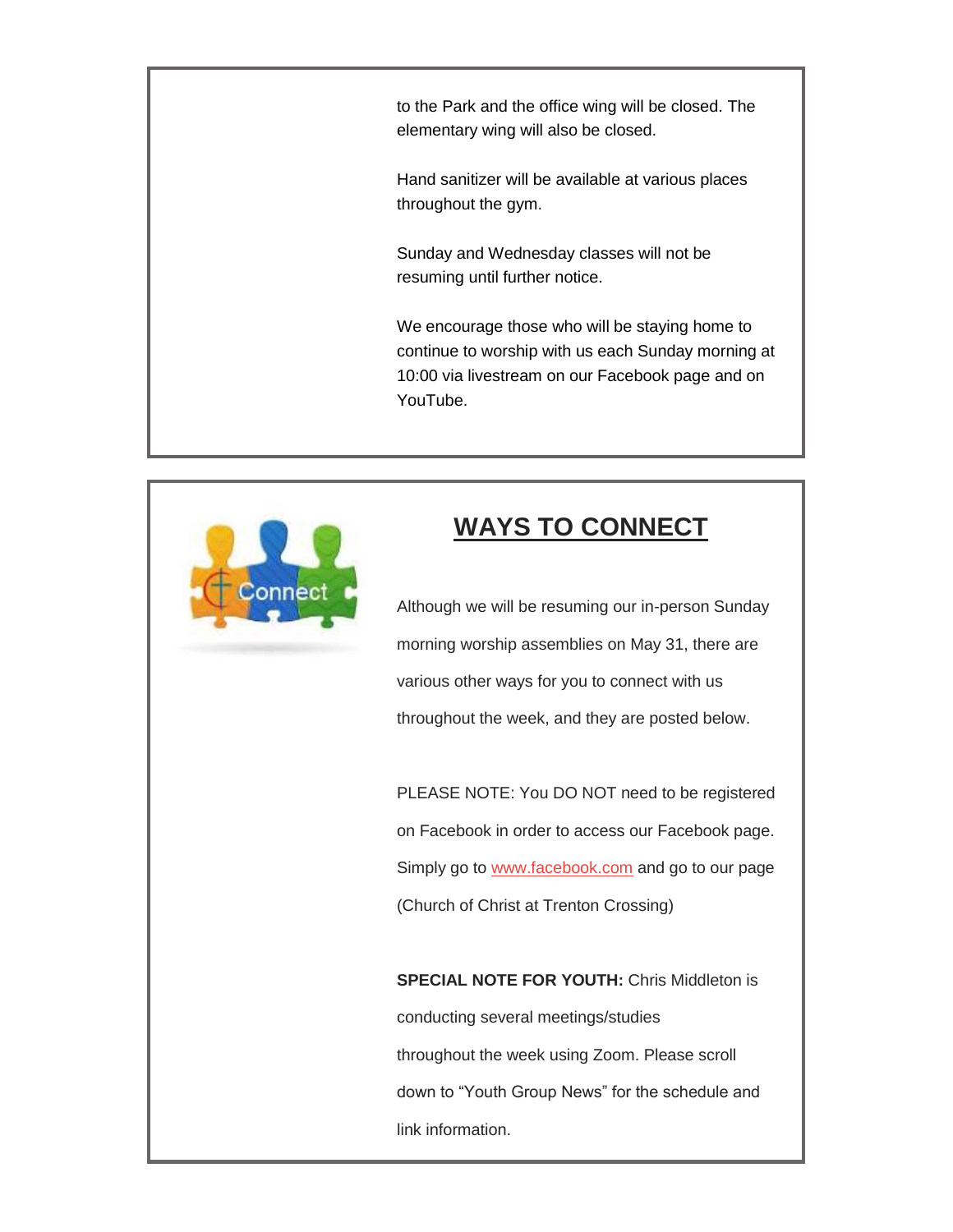to the Park and the office wing will be closed. The elementary wing will also be closed.

Hand sanitizer will be available at various places throughout the gym.

Sunday and Wednesday classes will not be resuming until further notice.

We encourage those who will be staying home to continue to worship with us each Sunday morning at 10:00 via livestream on our Facebook page and on YouTube.



# **WAYS TO CONNECT**

Although we will be resuming our in-person Sunday morning worship assemblies on May 31, there are various other ways for you to connect with us throughout the week, and they are posted below.

PLEASE NOTE: You DO NOT need to be registered on Facebook in order to access our Facebook page. Simply go to [www.facebook.com](http://www.facebook.com/) and go to our page (Church of Christ at Trenton Crossing)

**SPECIAL NOTE FOR YOUTH:** Chris Middleton is conducting several meetings/studies throughout the week using Zoom. Please scroll down to "Youth Group News" for the schedule and link information.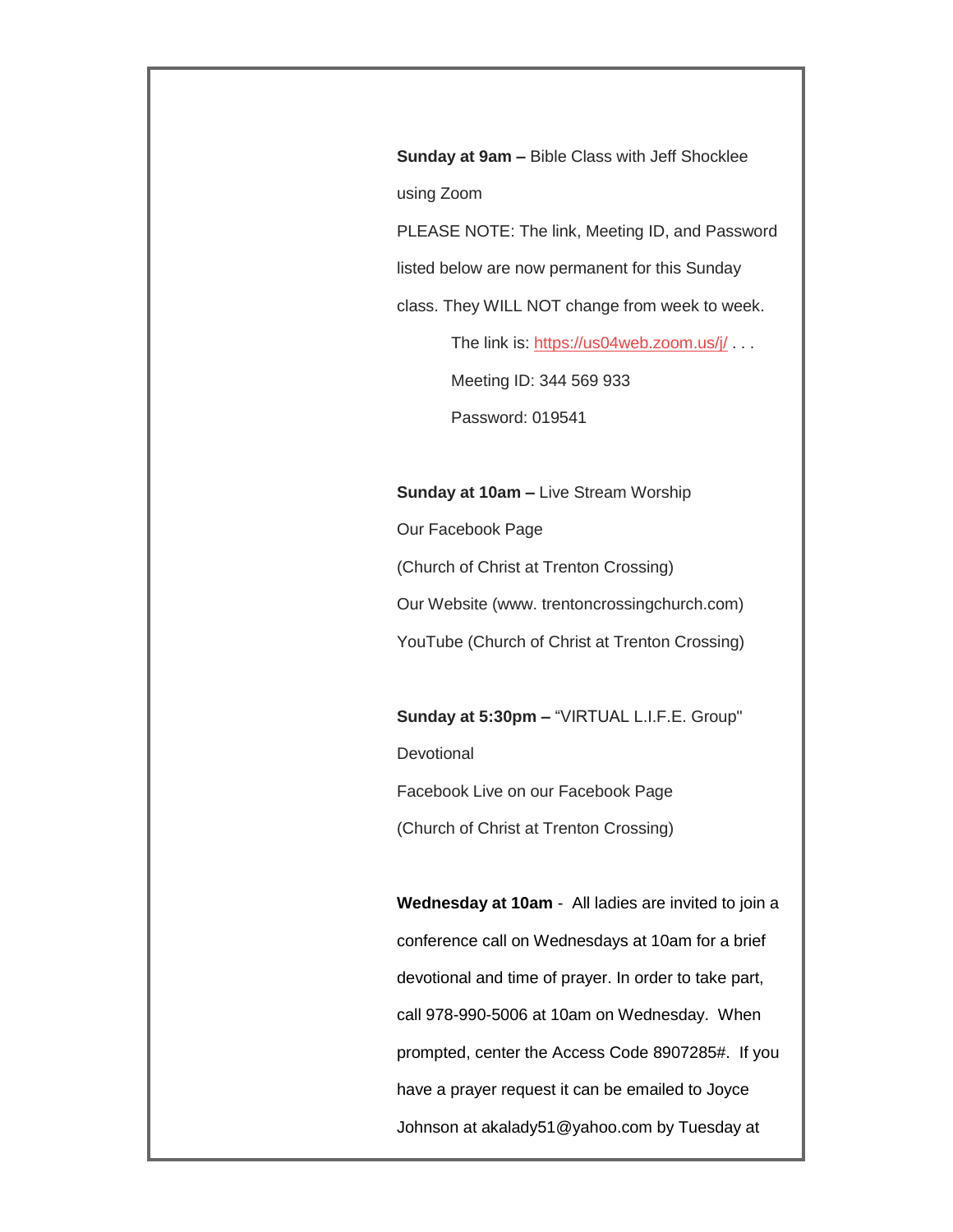**Sunday at 9am –** Bible Class with Jeff Shocklee using Zoom

PLEASE NOTE: The link, Meeting ID, and Password

listed below are now permanent for this Sunday

class. They WILL NOT change from week to week.

The link is: <https://us04web.zoom.us/j/> . . .

Meeting ID: 344 569 933

Password: 019541

#### **Sunday at 10am –** Live Stream Worship

Our Facebook Page

(Church of Christ at Trenton Crossing)

Our Website (www. trentoncrossingchurch.com)

YouTube (Church of Christ at Trenton Crossing)

**Sunday at 5:30pm –** "VIRTUAL L.I.F.E. Group" **Devotional** Facebook Live on our Facebook Page

(Church of Christ at Trenton Crossing)

**Wednesday at 10am** - All ladies are invited to join a conference call on Wednesdays at 10am for a brief devotional and time of prayer. In order to take part, call 978-990-5006 at 10am on Wednesday. When prompted, center the Access Code 8907285#. If you have a prayer request it can be emailed to Joyce Johnson at akalady51@yahoo.com by Tuesday at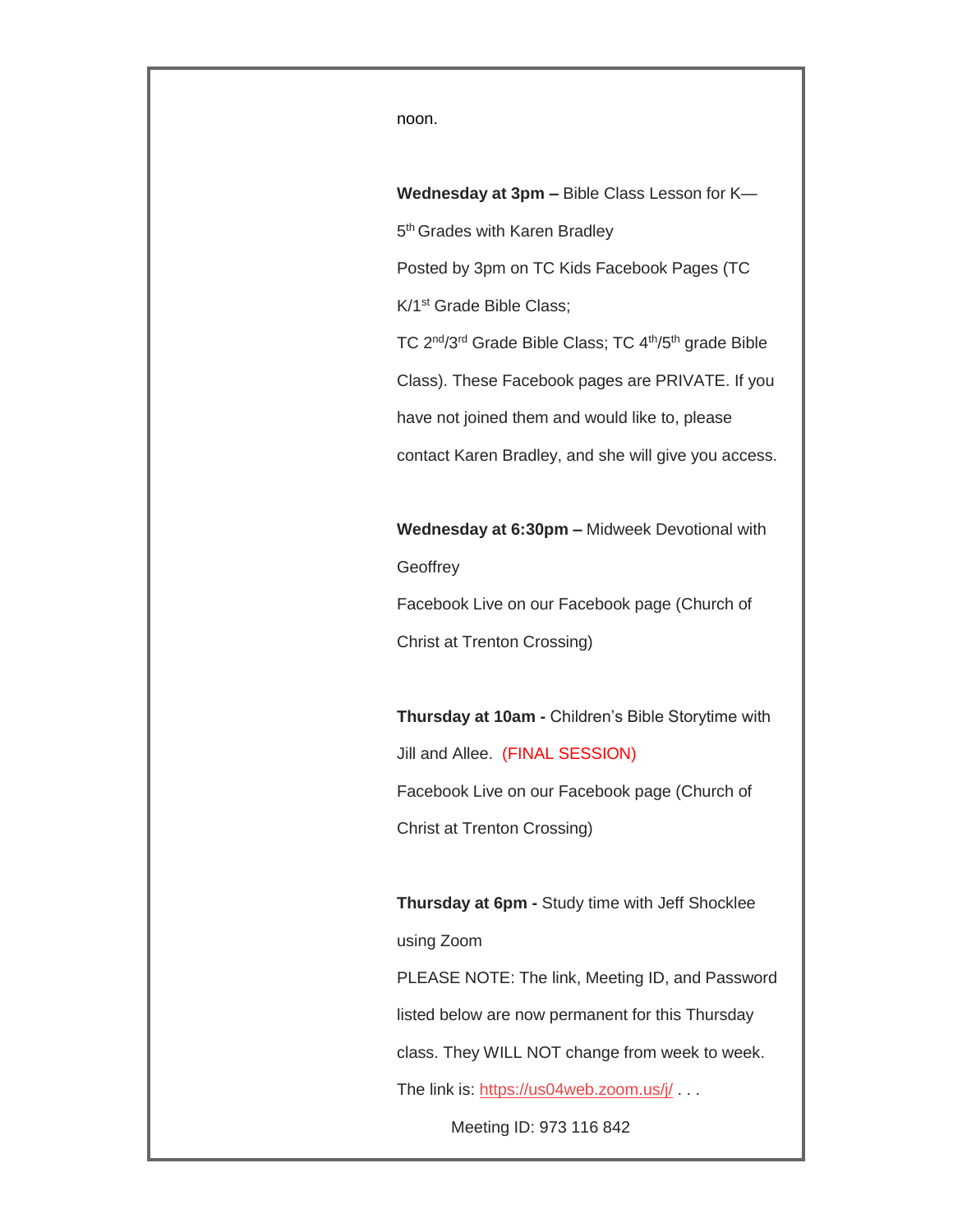noon.

**Wednesday at 3pm –** Bible Class Lesson for K— 5<sup>th</sup> Grades with Karen Bradley Posted by 3pm on TC Kids Facebook Pages (TC K/1st Grade Bible Class; TC 2nd/3rd Grade Bible Class; TC 4th/5th grade Bible Class). These Facebook pages are PRIVATE. If you have not joined them and would like to, please contact Karen Bradley, and she will give you access.

**Wednesday at 6:30pm –** Midweek Devotional with **Geoffrey** Facebook Live on our Facebook page (Church of

Christ at Trenton Crossing)

**Thursday at 10am -** Children's Bible Storytime with Jill and Allee. (FINAL SESSION) Facebook Live on our Facebook page (Church of Christ at Trenton Crossing)

**Thursday at 6pm -** Study time with Jeff Shocklee using Zoom

PLEASE NOTE: The link, Meeting ID, and Password listed below are now permanent for this Thursday class. They WILL NOT change from week to week. The link is: <https://us04web.zoom.us/j/> . . . Meeting ID: 973 116 842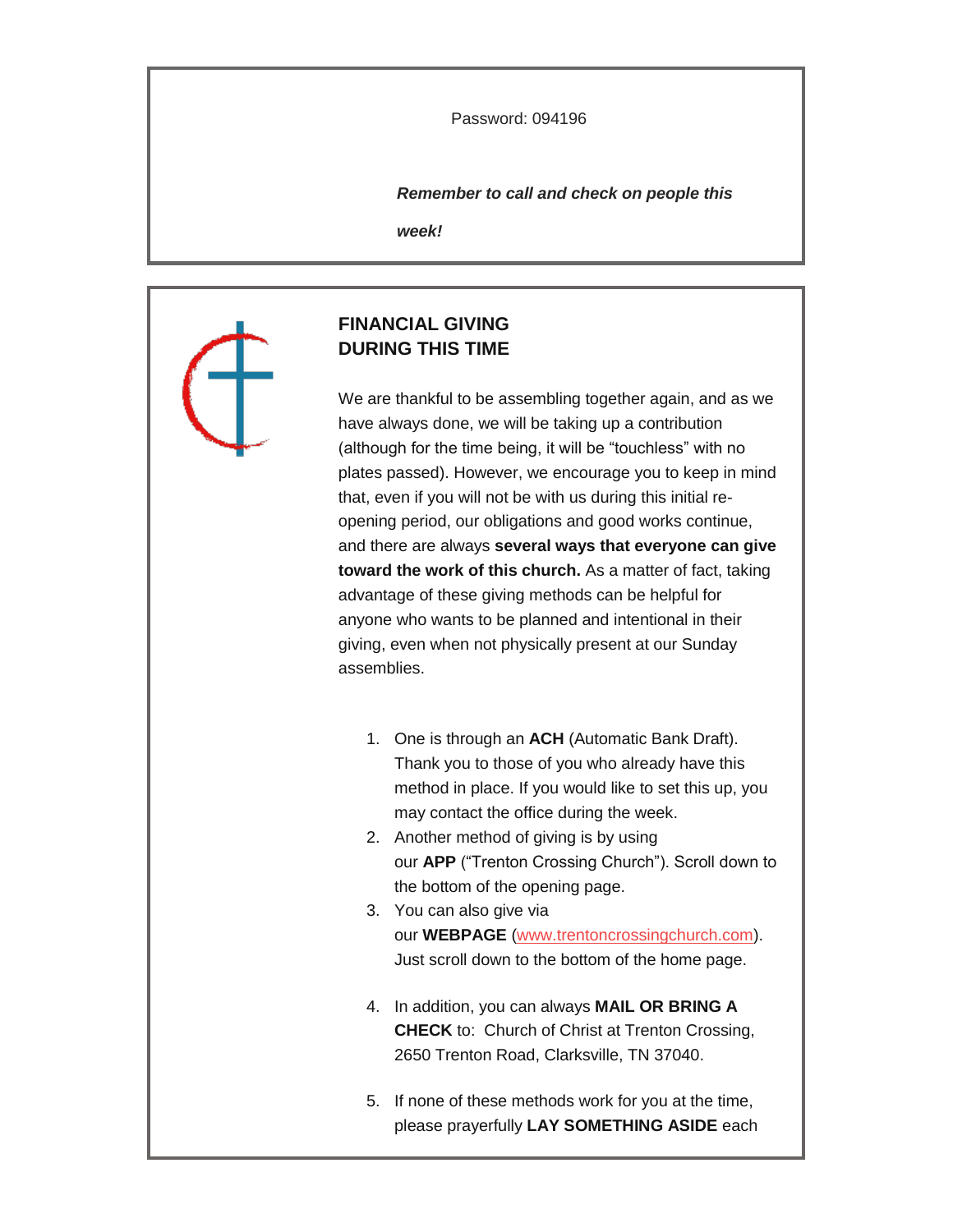Password: 094196

*Remember to call and check on people this* 

*week!*

### **FINANCIAL GIVING DURING THIS TIME**

We are thankful to be assembling together again, and as we have always done, we will be taking up a contribution (although for the time being, it will be "touchless" with no plates passed). However, we encourage you to keep in mind that, even if you will not be with us during this initial reopening period, our obligations and good works continue, and there are always **several ways that everyone can give toward the work of this church.** As a matter of fact, taking advantage of these giving methods can be helpful for anyone who wants to be planned and intentional in their giving, even when not physically present at our Sunday assemblies.

- 1. One is through an **ACH** (Automatic Bank Draft). Thank you to those of you who already have this method in place. If you would like to set this up, you may contact the office during the week.
- 2. Another method of giving is by using our **APP** ("Trenton Crossing Church"). Scroll down to the bottom of the opening page.
- 3. You can also give via our **WEBPAGE** [\(www.trentoncrossingchurch.com\)](http://www.trentoncrossingchurch.com/). Just scroll down to the bottom of the home page.
- 4. In addition, you can always **MAIL OR BRING A CHECK** to: Church of Christ at Trenton Crossing, 2650 Trenton Road, Clarksville, TN 37040.
- 5. If none of these methods work for you at the time, please prayerfully **LAY SOMETHING ASIDE** each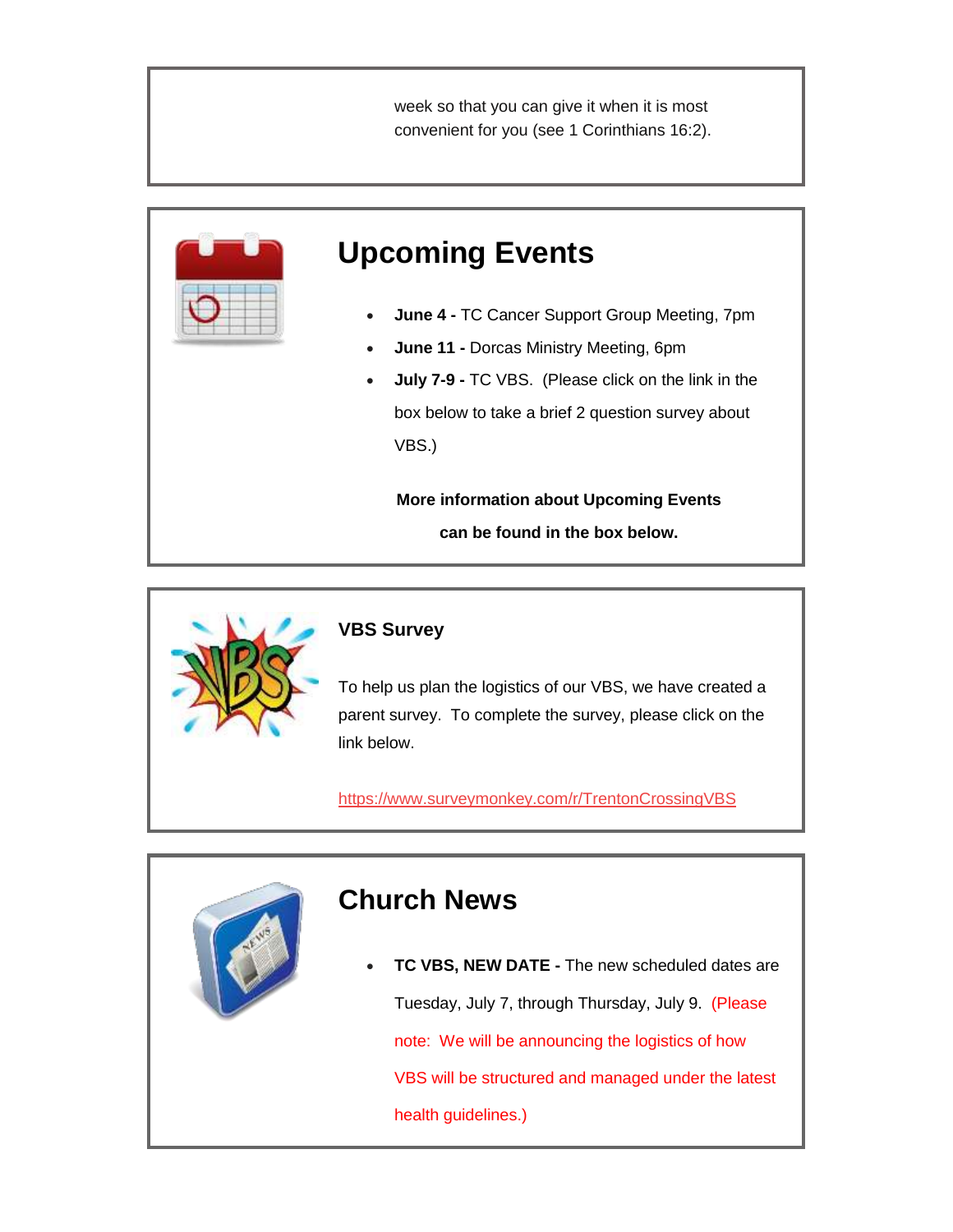week so that you can give it when it is most convenient for you (see 1 Corinthians 16:2).



# **Upcoming Events**

- **June 4 -** TC Cancer Support Group Meeting, 7pm
- **June 11 -** Dorcas Ministry Meeting, 6pm
- **July 7-9 -** TC VBS. (Please click on the link in the box below to take a brief 2 question survey about VBS.)

**More information about Upcoming Events can be found in the box below.**



### **VBS Survey**

To help us plan the logistics of our VBS, we have created a parent survey. To complete the survey, please click on the link below.

<https://www.surveymonkey.com/r/TrentonCrossingVBS>

## **Church News**

 **TC VBS, NEW DATE -** The new scheduled dates are Tuesday, July 7, through Thursday, July 9. (Please note: We will be announcing the logistics of how VBS will be structured and managed under the latest health guidelines.)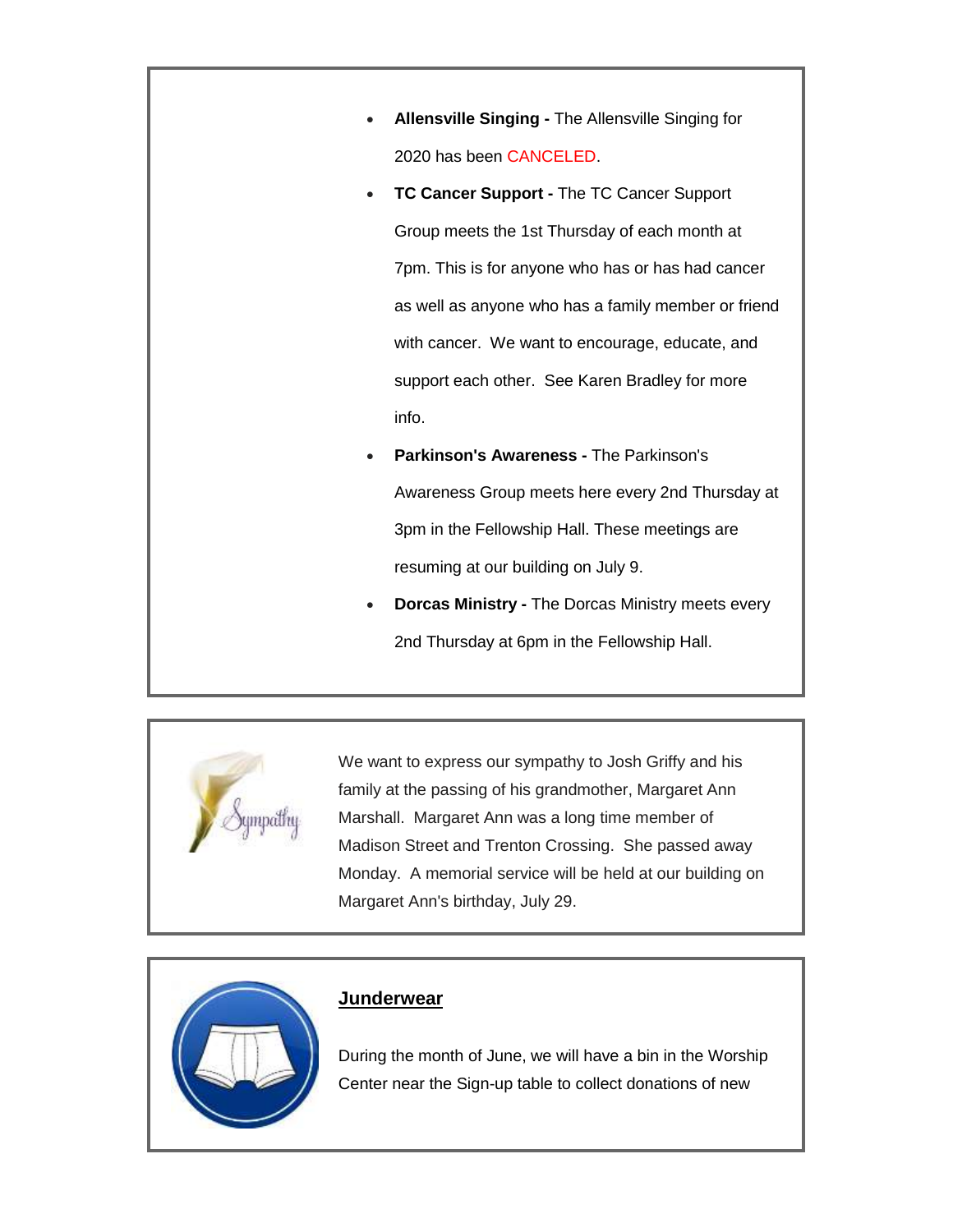- **Allensville Singing -** The Allensville Singing for 2020 has been CANCELED.
- **TC Cancer Support -** The TC Cancer Support Group meets the 1st Thursday of each month at 7pm. This is for anyone who has or has had cancer as well as anyone who has a family member or friend with cancer. We want to encourage, educate, and support each other. See Karen Bradley for more info.
- **Parkinson's Awareness -** The Parkinson's Awareness Group meets here every 2nd Thursday at 3pm in the Fellowship Hall. These meetings are resuming at our building on July 9.
- **Dorcas Ministry -** The Dorcas Ministry meets every 2nd Thursday at 6pm in the Fellowship Hall.



We want to express our sympathy to Josh Griffy and his family at the passing of his grandmother, Margaret Ann Marshall. Margaret Ann was a long time member of Madison Street and Trenton Crossing. She passed away Monday. A memorial service will be held at our building on Margaret Ann's birthday, July 29.



#### **Junderwear**

During the month of June, we will have a bin in the Worship Center near the Sign-up table to collect donations of new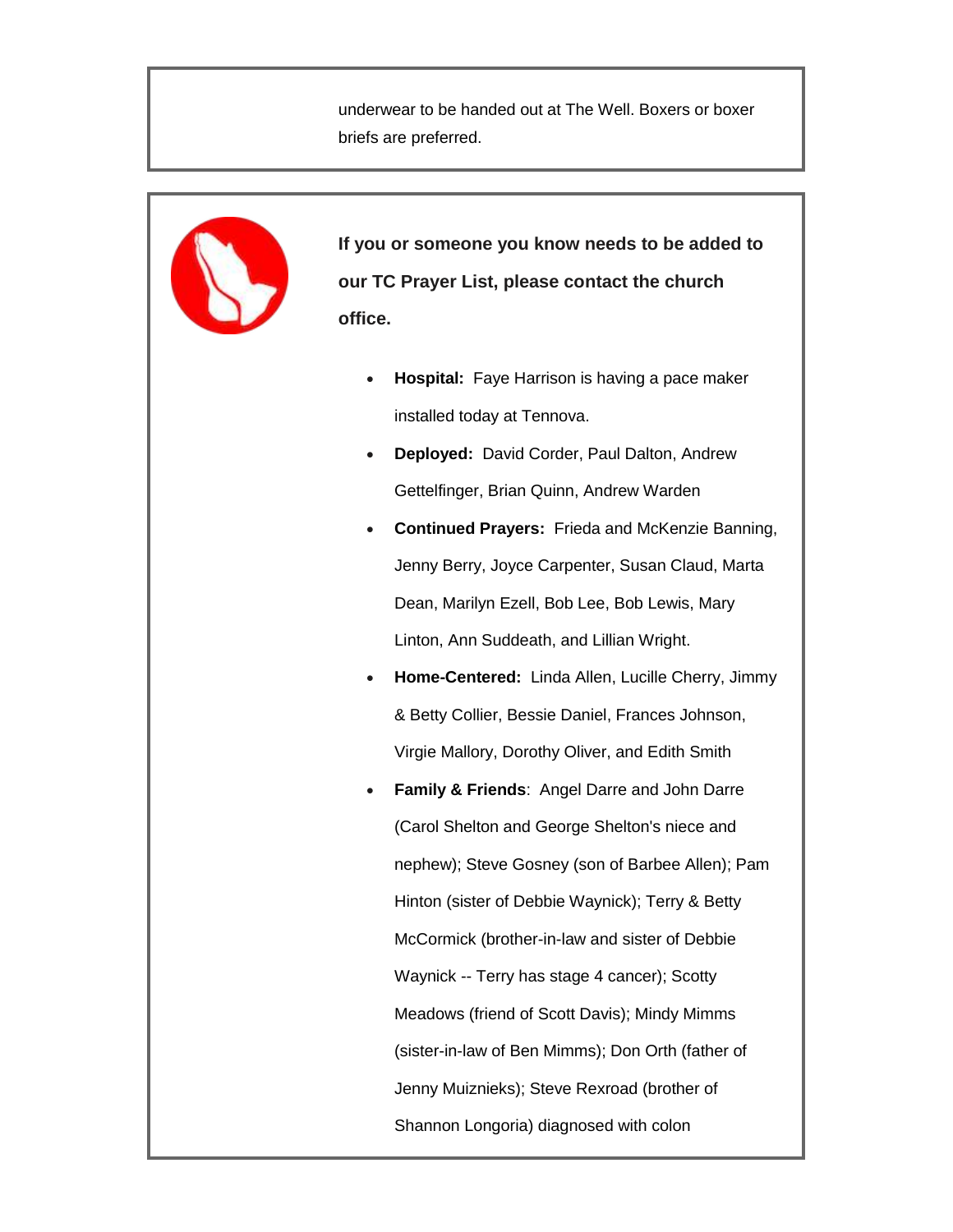underwear to be handed out at The Well. Boxers or boxer briefs are preferred.



- 
- **Hospital:** Faye Harrison is having a pace maker installed today at Tennova.
- **Deployed:** David Corder, Paul Dalton, Andrew Gettelfinger, Brian Quinn, Andrew Warden
- **Continued Prayers:** Frieda and McKenzie Banning, Jenny Berry, Joyce Carpenter, Susan Claud, Marta Dean, Marilyn Ezell, Bob Lee, Bob Lewis, Mary Linton, Ann Suddeath, and Lillian Wright.
- **Home-Centered:** Linda Allen, Lucille Cherry, Jimmy & Betty Collier, Bessie Daniel, Frances Johnson, Virgie Mallory, Dorothy Oliver, and Edith Smith
- **Family & Friends**: Angel Darre and John Darre (Carol Shelton and George Shelton's niece and nephew); Steve Gosney (son of Barbee Allen); Pam Hinton (sister of Debbie Waynick); Terry & Betty McCormick (brother-in-law and sister of Debbie Waynick -- Terry has stage 4 cancer); Scotty Meadows (friend of Scott Davis); Mindy Mimms (sister-in-law of Ben Mimms); Don Orth (father of Jenny Muiznieks); Steve Rexroad (brother of Shannon Longoria) diagnosed with colon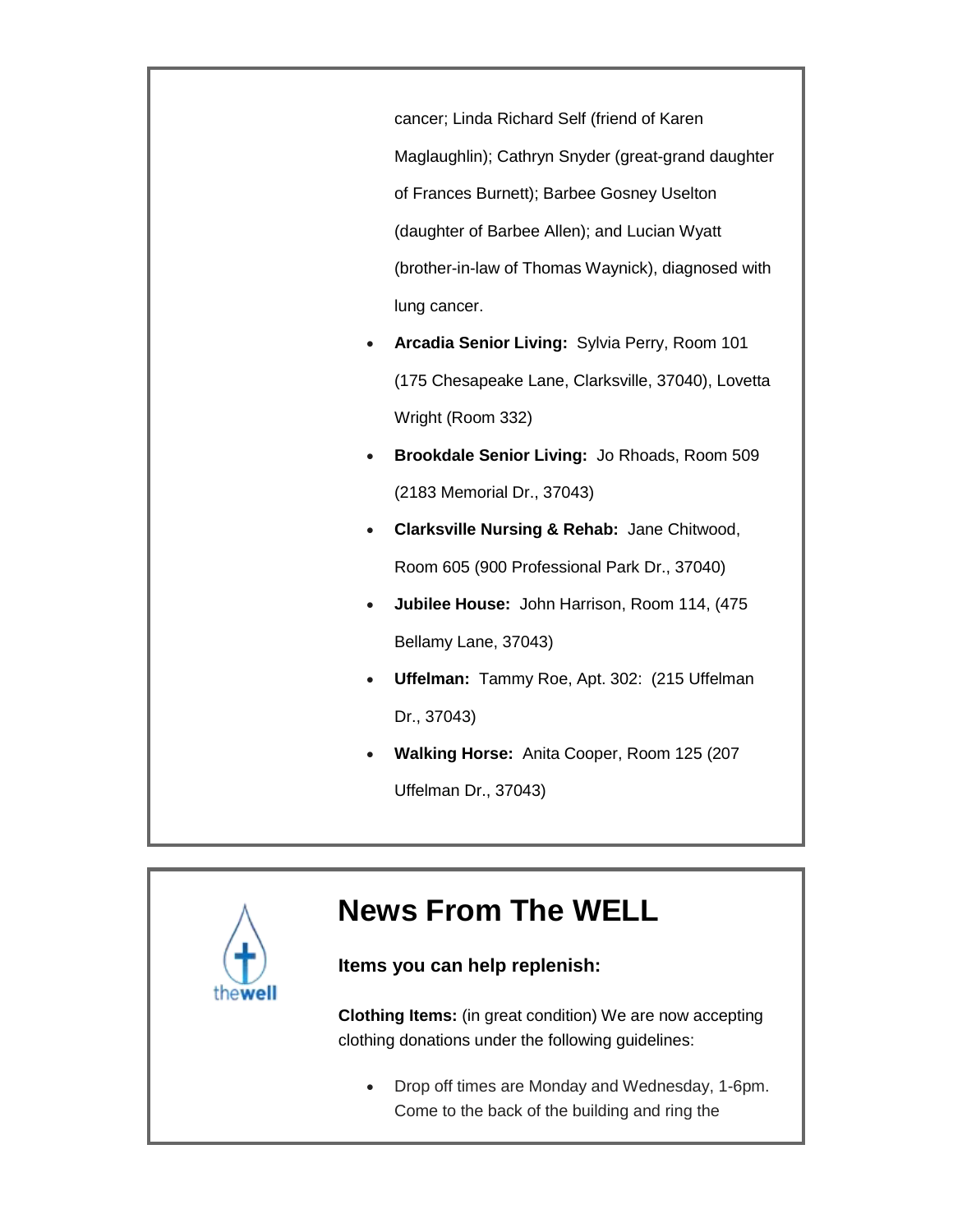cancer; Linda Richard Self (friend of Karen Maglaughlin); Cathryn Snyder (great-grand daughter of Frances Burnett); Barbee Gosney Uselton (daughter of Barbee Allen); and Lucian Wyatt (brother-in-law of Thomas Waynick), diagnosed with lung cancer.

- **Arcadia Senior Living:** Sylvia Perry, Room 101 (175 Chesapeake Lane, Clarksville, 37040), Lovetta Wright (Room 332)
- **Brookdale Senior Living:** Jo Rhoads, Room 509 (2183 Memorial Dr., 37043)
- **Clarksville Nursing & Rehab:** Jane Chitwood, Room 605 (900 Professional Park Dr., 37040)
- **Jubilee House:** John Harrison, Room 114, (475 Bellamy Lane, 37043)
- **Uffelman:** Tammy Roe, Apt. 302: (215 Uffelman Dr., 37043)
- **Walking Horse:** Anita Cooper, Room 125 (207 Uffelman Dr., 37043)



# **News From The WELL**

### **Items you can help replenish:**

**Clothing Items:** (in great condition) We are now accepting clothing donations under the following guidelines:

 Drop off times are Monday and Wednesday, 1-6pm. Come to the back of the building and ring the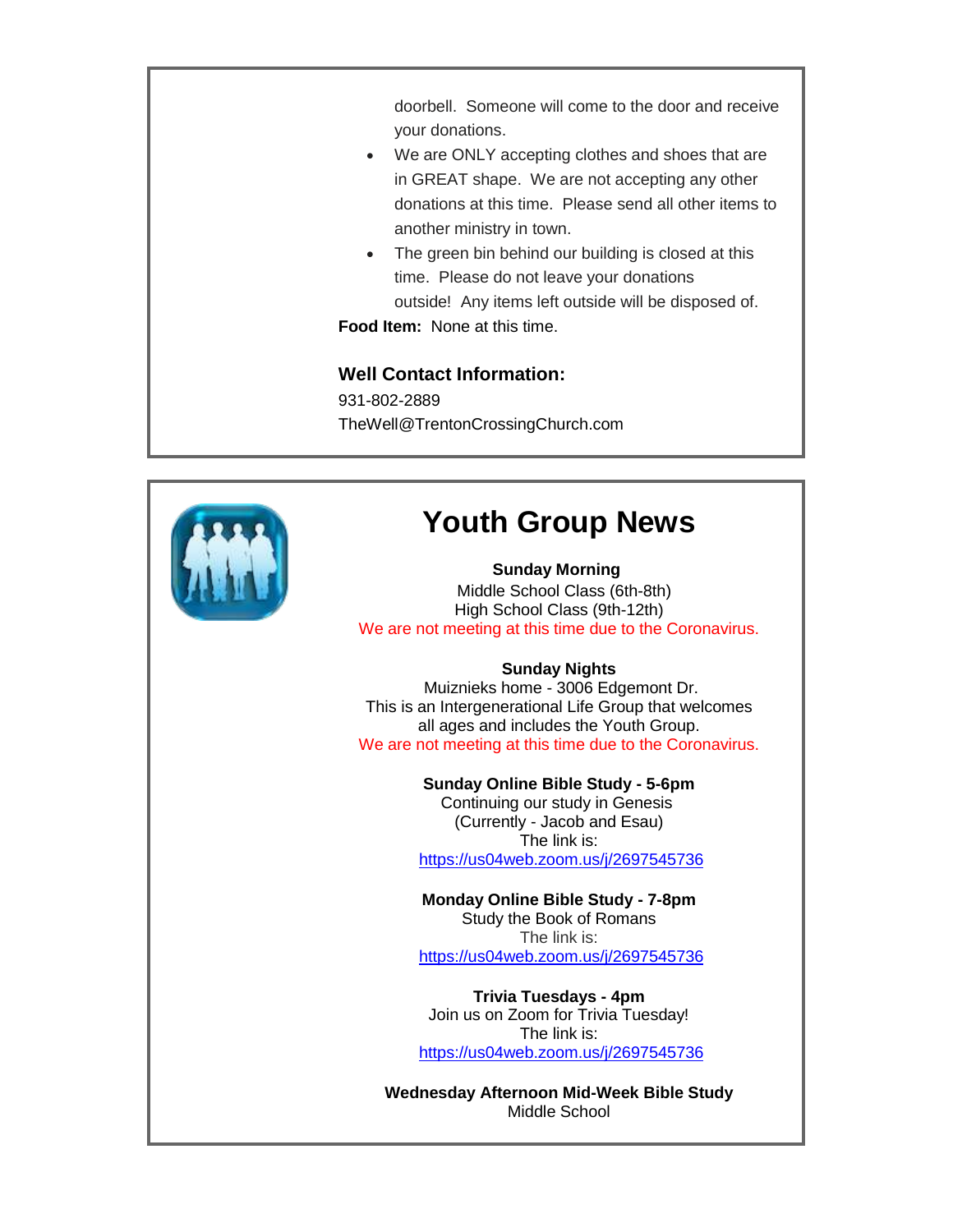doorbell. Someone will come to the door and receive your donations.

- We are ONLY accepting clothes and shoes that are in GREAT shape. We are not accepting any other donations at this time. Please send all other items to another ministry in town.
- The green bin behind our building is closed at this time. Please do not leave your donations outside! Any items left outside will be disposed of. **Food Item:** None at this time.

**Well Contact Information:** 931-802-2889 TheWell@TrentonCrossingChurch.com



# **Youth Group News**

#### **Sunday Morning**

 Middle School Class (6th-8th) High School Class (9th-12th) We are not meeting at this time due to the Coronavirus.

#### **Sunday Nights**

Muiznieks home - 3006 Edgemont Dr. This is an Intergenerational Life Group that welcomes all ages and includes the Youth Group. We are not meeting at this time due to the Coronavirus.

#### **Sunday Online Bible Study - 5-6pm**

Continuing our study in Genesis (Currently - Jacob and Esau) The link is: <https://us04web.zoom.us/j/2697545736>

**Monday Online Bible Study - 7-8pm** Study the Book of Romans The link is: <https://us04web.zoom.us/j/2697545736>

**Trivia Tuesdays - 4pm** Join us on Zoom for Trivia Tuesday! The link is: <https://us04web.zoom.us/j/2697545736>

**Wednesday Afternoon Mid-Week Bible Study** Middle School